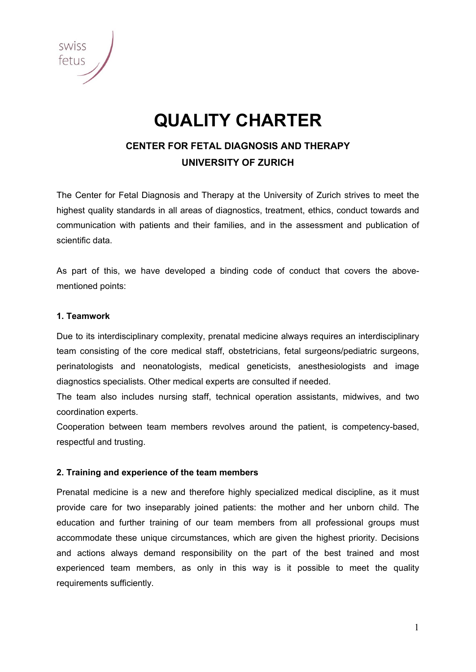# **QUALITY CHARTER**

## **CENTER FOR FETAL DIAGNOSIS AND THERAPY UNIVERSITY OF ZURICH**

The Center for Fetal Diagnosis and Therapy at the University of Zurich strives to meet the highest quality standards in all areas of diagnostics, treatment, ethics, conduct towards and communication with patients and their families, and in the assessment and publication of scientific data.

As part of this, we have developed a binding code of conduct that covers the abovementioned points:

#### **1. Teamwork**

Due to its interdisciplinary complexity, prenatal medicine always requires an interdisciplinary team consisting of the core medical staff, obstetricians, fetal surgeons/pediatric surgeons, perinatologists and neonatologists, medical geneticists, anesthesiologists and image diagnostics specialists. Other medical experts are consulted if needed.

The team also includes nursing staff, technical operation assistants, midwives, and two coordination experts.

Cooperation between team members revolves around the patient, is competency-based, respectful and trusting.

#### **2. Training and experience of the team members**

Prenatal medicine is a new and therefore highly specialized medical discipline, as it must provide care for two inseparably joined patients: the mother and her unborn child. The education and further training of our team members from all professional groups must accommodate these unique circumstances, which are given the highest priority. Decisions and actions always demand responsibility on the part of the best trained and most experienced team members, as only in this way is it possible to meet the quality requirements sufficiently.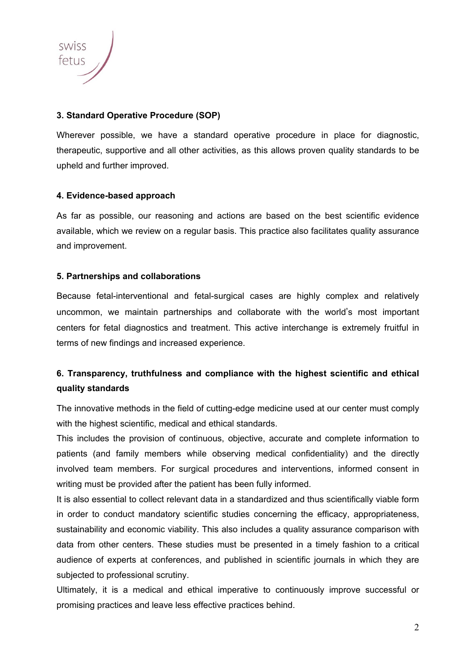

#### **3. Standard Operative Procedure (SOP)**

Wherever possible, we have a standard operative procedure in place for diagnostic, therapeutic, supportive and all other activities, as this allows proven quality standards to be upheld and further improved.

#### **4. Evidence-based approach**

As far as possible, our reasoning and actions are based on the best scientific evidence available, which we review on a regular basis. This practice also facilitates quality assurance and improvement.

#### **5. Partnerships and collaborations**

Because fetal-interventional and fetal-surgical cases are highly complex and relatively uncommon, we maintain partnerships and collaborate with the world's most important centers for fetal diagnostics and treatment. This active interchange is extremely fruitful in terms of new findings and increased experience.

### **6. Transparency, truthfulness and compliance with the highest scientific and ethical quality standards**

The innovative methods in the field of cutting-edge medicine used at our center must comply with the highest scientific, medical and ethical standards.

This includes the provision of continuous, objective, accurate and complete information to patients (and family members while observing medical confidentiality) and the directly involved team members. For surgical procedures and interventions, informed consent in writing must be provided after the patient has been fully informed.

It is also essential to collect relevant data in a standardized and thus scientifically viable form in order to conduct mandatory scientific studies concerning the efficacy, appropriateness, sustainability and economic viability. This also includes a quality assurance comparison with data from other centers. These studies must be presented in a timely fashion to a critical audience of experts at conferences, and published in scientific journals in which they are subjected to professional scrutiny.

Ultimately, it is a medical and ethical imperative to continuously improve successful or promising practices and leave less effective practices behind.